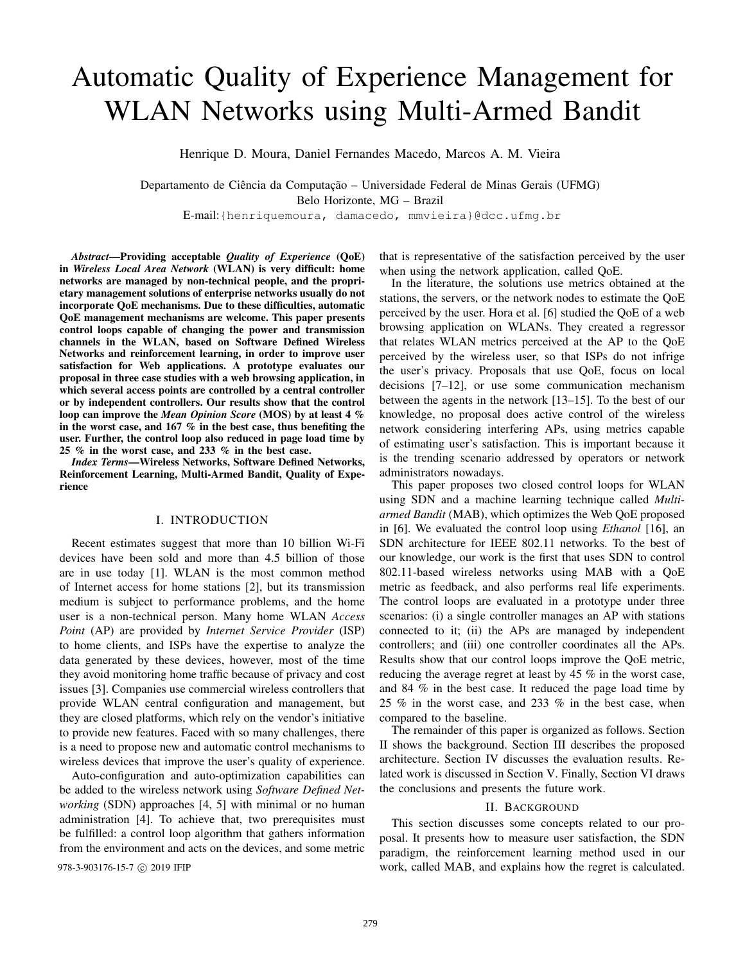# Automatic Quality of Experience Management for WLAN Networks using Multi-Armed Bandit

Henrique D. Moura, Daniel Fernandes Macedo, Marcos A. M. Vieira

Departamento de Ciência da Computação – Universidade Federal de Minas Gerais (UFMG) Belo Horizonte, MG – Brazil

E-mail:{henriquemoura, damacedo, mmvieira}@dcc.ufmg.br

*Abstract*—Providing acceptable *Quality of Experience* (QoE) in *Wireless Local Area Network* (WLAN) is very difficult: home networks are managed by non-technical people, and the proprietary management solutions of enterprise networks usually do not incorporate QoE mechanisms. Due to these difficulties, automatic QoE management mechanisms are welcome. This paper presents control loops capable of changing the power and transmission channels in the WLAN, based on Software Defined Wireless Networks and reinforcement learning, in order to improve user satisfaction for Web applications. A prototype evaluates our proposal in three case studies with a web browsing application, in which several access points are controlled by a central controller or by independent controllers. Our results show that the control loop can improve the *Mean Opinion Score* (MOS) by at least 4 % in the worst case, and 167 % in the best case, thus benefiting the user. Further, the control loop also reduced in page load time by 25  $%$  in the worst case, and 233  $%$  in the best case.

*Index Terms*—Wireless Networks, Software Defined Networks, Reinforcement Learning, Multi-Armed Bandit, Quality of Experience

## I. INTRODUCTION

Recent estimates suggest that more than 10 billion Wi-Fi devices have been sold and more than 4.5 billion of those are in use today [1]. WLAN is the most common method of Internet access for home stations [2], but its transmission medium is subject to performance problems, and the home user is a non-technical person. Many home WLAN *Access Point* (AP) are provided by *Internet Service Provider* (ISP) to home clients, and ISPs have the expertise to analyze the data generated by these devices, however, most of the time they avoid monitoring home traffic because of privacy and cost issues [3]. Companies use commercial wireless controllers that provide WLAN central configuration and management, but they are closed platforms, which rely on the vendor's initiative to provide new features. Faced with so many challenges, there is a need to propose new and automatic control mechanisms to wireless devices that improve the user's quality of experience.

Auto-configuration and auto-optimization capabilities can be added to the wireless network using *Software Defined Networking* (SDN) approaches [4, 5] with minimal or no human administration [4]. To achieve that, two prerequisites must be fulfilled: a control loop algorithm that gathers information from the environment and acts on the devices, and some metric

that is representative of the satisfaction perceived by the user when using the network application, called QoE.

In the literature, the solutions use metrics obtained at the stations, the servers, or the network nodes to estimate the QoE perceived by the user. Hora et al. [6] studied the QoE of a web browsing application on WLANs. They created a regressor that relates WLAN metrics perceived at the AP to the QoE perceived by the wireless user, so that ISPs do not infrige the user's privacy. Proposals that use QoE, focus on local decisions [7–12], or use some communication mechanism between the agents in the network [13–15]. To the best of our knowledge, no proposal does active control of the wireless network considering interfering APs, using metrics capable of estimating user's satisfaction. This is important because it is the trending scenario addressed by operators or network administrators nowadays.

This paper proposes two closed control loops for WLAN using SDN and a machine learning technique called *Multiarmed Bandit* (MAB), which optimizes the Web QoE proposed in [6]. We evaluated the control loop using *Ethanol* [16], an SDN architecture for IEEE 802.11 networks. To the best of our knowledge, our work is the first that uses SDN to control 802.11-based wireless networks using MAB with a QoE metric as feedback, and also performs real life experiments. The control loops are evaluated in a prototype under three scenarios: (i) a single controller manages an AP with stations connected to it; (ii) the APs are managed by independent controllers; and (iii) one controller coordinates all the APs. Results show that our control loops improve the QoE metric, reducing the average regret at least by 45 % in the worst case, and 84 % in the best case. It reduced the page load time by 25 % in the worst case, and 233 % in the best case, when compared to the baseline.

The remainder of this paper is organized as follows. Section II shows the background. Section III describes the proposed architecture. Section IV discusses the evaluation results. Related work is discussed in Section V. Finally, Section VI draws the conclusions and presents the future work.

#### II. BACKGROUND

This section discusses some concepts related to our proposal. It presents how to measure user satisfaction, the SDN paradigm, the reinforcement learning method used in our 978-3-903176-15-7 c 2019 IFIP work, called MAB, and explains how the regret is calculated.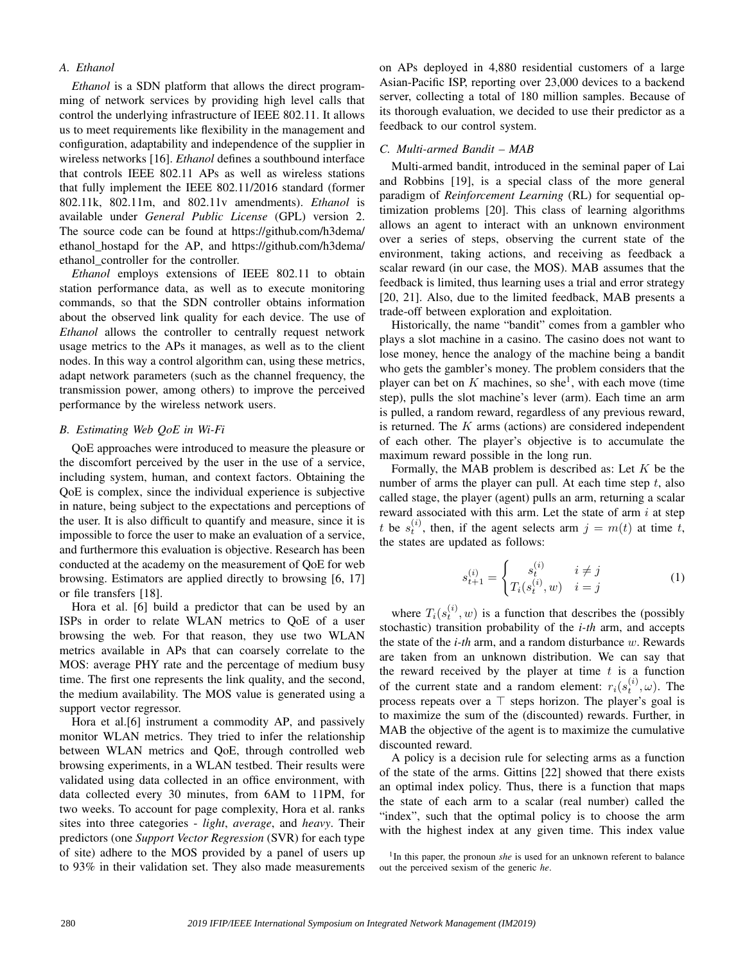# *A. Ethanol*

*Ethanol* is a SDN platform that allows the direct programming of network services by providing high level calls that control the underlying infrastructure of IEEE 802.11. It allows us to meet requirements like flexibility in the management and configuration, adaptability and independence of the supplier in wireless networks [16]. *Ethanol* defines a southbound interface that controls IEEE 802.11 APs as well as wireless stations that fully implement the IEEE 802.11/2016 standard (former 802.11k, 802.11m, and 802.11v amendments). *Ethanol* is available under *General Public License* (GPL) version 2. The source code can be found at https://github.com/h3dema/ ethanol\_hostapd for the AP, and https://github.com/h3dema/ ethanol\_controller for the controller.

*Ethanol* employs extensions of IEEE 802.11 to obtain station performance data, as well as to execute monitoring commands, so that the SDN controller obtains information about the observed link quality for each device. The use of *Ethanol* allows the controller to centrally request network usage metrics to the APs it manages, as well as to the client nodes. In this way a control algorithm can, using these metrics, adapt network parameters (such as the channel frequency, the transmission power, among others) to improve the perceived performance by the wireless network users.

## *B. Estimating Web QoE in Wi-Fi*

QoE approaches were introduced to measure the pleasure or the discomfort perceived by the user in the use of a service, including system, human, and context factors. Obtaining the QoE is complex, since the individual experience is subjective in nature, being subject to the expectations and perceptions of the user. It is also difficult to quantify and measure, since it is impossible to force the user to make an evaluation of a service, and furthermore this evaluation is objective. Research has been conducted at the academy on the measurement of QoE for web browsing. Estimators are applied directly to browsing [6, 17] or file transfers [18].

Hora et al. [6] build a predictor that can be used by an ISPs in order to relate WLAN metrics to QoE of a user browsing the web. For that reason, they use two WLAN metrics available in APs that can coarsely correlate to the MOS: average PHY rate and the percentage of medium busy time. The first one represents the link quality, and the second, the medium availability. The MOS value is generated using a support vector regressor.

Hora et al.[6] instrument a commodity AP, and passively monitor WLAN metrics. They tried to infer the relationship between WLAN metrics and QoE, through controlled web browsing experiments, in a WLAN testbed. Their results were validated using data collected in an office environment, with data collected every 30 minutes, from 6AM to 11PM, for two weeks. To account for page complexity, Hora et al. ranks sites into three categories - *light*, *average*, and *heavy*. Their predictors (one *Support Vector Regression* (SVR) for each type of site) adhere to the MOS provided by a panel of users up to 93% in their validation set. They also made measurements on APs deployed in 4,880 residential customers of a large Asian-Pacific ISP, reporting over 23,000 devices to a backend server, collecting a total of 180 million samples. Because of its thorough evaluation, we decided to use their predictor as a feedback to our control system.

### *C. Multi-armed Bandit – MAB*

Multi-armed bandit, introduced in the seminal paper of Lai and Robbins [19], is a special class of the more general paradigm of *Reinforcement Learning* (RL) for sequential optimization problems [20]. This class of learning algorithms allows an agent to interact with an unknown environment over a series of steps, observing the current state of the environment, taking actions, and receiving as feedback a scalar reward (in our case, the MOS). MAB assumes that the feedback is limited, thus learning uses a trial and error strategy [20, 21]. Also, due to the limited feedback, MAB presents a trade-off between exploration and exploitation.

Historically, the name "bandit" comes from a gambler who plays a slot machine in a casino. The casino does not want to lose money, hence the analogy of the machine being a bandit who gets the gambler's money. The problem considers that the player can bet on  $K$  machines, so she<sup>1</sup>, with each move (time step), pulls the slot machine's lever (arm). Each time an arm is pulled, a random reward, regardless of any previous reward, is returned. The  $K$  arms (actions) are considered independent of each other. The player's objective is to accumulate the maximum reward possible in the long run.

Formally, the MAB problem is described as: Let  $K$  be the number of arms the player can pull. At each time step  $t$ , also called stage, the player (agent) pulls an arm, returning a scalar reward associated with this arm. Let the state of arm  $i$  at step t be  $s_t^{(i)}$ , then, if the agent selects arm  $j = m(t)$  at time t, the states are updated as follows:

$$
s_{t+1}^{(i)} = \begin{cases} s_t^{(i)} & i \neq j \\ T_i(s_t^{(i)}, w) & i = j \end{cases} \tag{1}
$$

where  $T_i(s_t^{(i)}, w)$  is a function that describes the (possibly stochastic) transition probability of the *i-th* arm, and accepts the state of the *i-th* arm, and a random disturbance w. Rewards are taken from an unknown distribution. We can say that the reward received by the player at time  $t$  is a function of the current state and a random element:  $r_i(s_t^{(i)}, \omega)$ . The process repeats over a ⊤ steps horizon. The player's goal is to maximize the sum of the (discounted) rewards. Further, in MAB the objective of the agent is to maximize the cumulative discounted reward.

A policy is a decision rule for selecting arms as a function of the state of the arms. Gittins [22] showed that there exists an optimal index policy. Thus, there is a function that maps the state of each arm to a scalar (real number) called the "index", such that the optimal policy is to choose the arm with the highest index at any given time. This index value

<sup>1</sup>In this paper, the pronoun *she* is used for an unknown referent to balance out the perceived sexism of the generic *he*.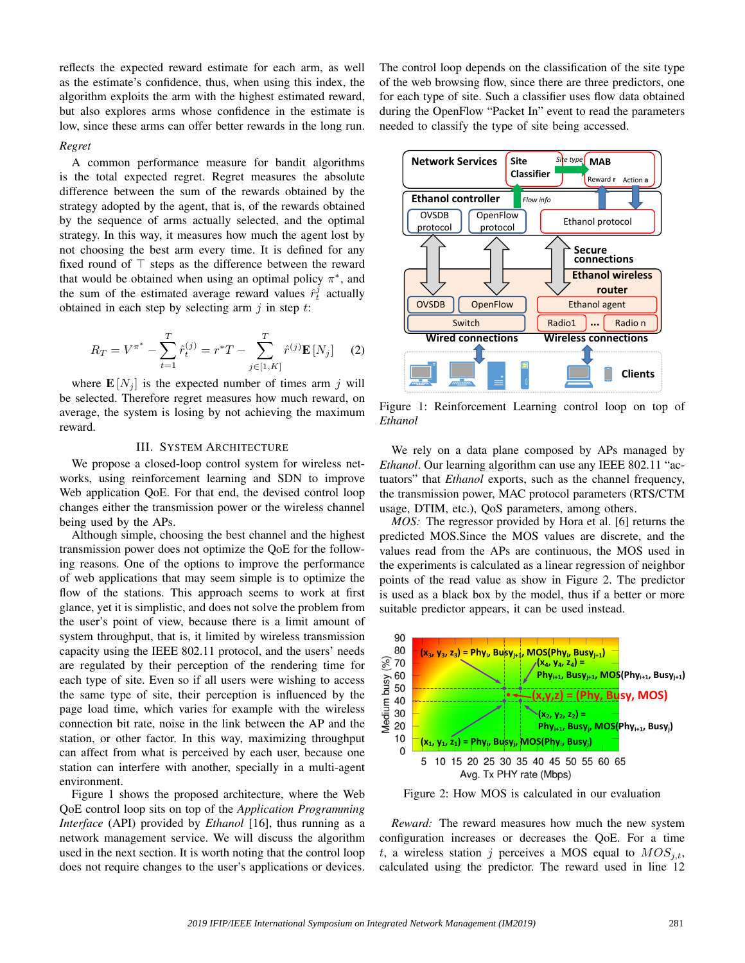reflects the expected reward estimate for each arm, as well as the estimate's confidence, thus, when using this index, the algorithm exploits the arm with the highest estimated reward, but also explores arms whose confidence in the estimate is low, since these arms can offer better rewards in the long run.

#### *Regret*

A common performance measure for bandit algorithms is the total expected regret. Regret measures the absolute difference between the sum of the rewards obtained by the strategy adopted by the agent, that is, of the rewards obtained by the sequence of arms actually selected, and the optimal strategy. In this way, it measures how much the agent lost by not choosing the best arm every time. It is defined for any fixed round of ⊤ steps as the difference between the reward that would be obtained when using an optimal policy  $\pi^*$ , and the sum of the estimated average reward values  $\hat{r}_t^j$  actually obtained in each step by selecting arm  $j$  in step  $t$ :

$$
R_T = V^{\pi^*} - \sum_{t=1}^T \hat{r}_t^{(j)} = r^*T - \sum_{j \in [1, K]}^T \hat{r}^{(j)} \mathbf{E}[N_j] \tag{2}
$$

where  $\mathbf{E}[N_i]$  is the expected number of times arm j will be selected. Therefore regret measures how much reward, on average, the system is losing by not achieving the maximum reward.

## III. SYSTEM ARCHITECTURE

We propose a closed-loop control system for wireless networks, using reinforcement learning and SDN to improve Web application QoE. For that end, the devised control loop changes either the transmission power or the wireless channel being used by the APs.

Although simple, choosing the best channel and the highest transmission power does not optimize the QoE for the following reasons. One of the options to improve the performance of web applications that may seem simple is to optimize the flow of the stations. This approach seems to work at first glance, yet it is simplistic, and does not solve the problem from the user's point of view, because there is a limit amount of system throughput, that is, it limited by wireless transmission capacity using the IEEE 802.11 protocol, and the users' needs are regulated by their perception of the rendering time for each type of site. Even so if all users were wishing to access the same type of site, their perception is influenced by the page load time, which varies for example with the wireless connection bit rate, noise in the link between the AP and the station, or other factor. In this way, maximizing throughput can affect from what is perceived by each user, because one station can interfere with another, specially in a multi-agent environment.

Figure 1 shows the proposed architecture, where the Web QoE control loop sits on top of the *Application Programming Interface* (API) provided by *Ethanol* [16], thus running as a network management service. We will discuss the algorithm used in the next section. It is worth noting that the control loop does not require changes to the user's applications or devices. The control loop depends on the classification of the site type of the web browsing flow, since there are three predictors, one for each type of site. Such a classifier uses flow data obtained during the OpenFlow "Packet In" event to read the parameters needed to classify the type of site being accessed.



Figure 1: Reinforcement Learning control loop on top of *Ethanol*

We rely on a data plane composed by APs managed by *Ethanol*. Our learning algorithm can use any IEEE 802.11 "actuators" that *Ethanol* exports, such as the channel frequency, the transmission power, MAC protocol parameters (RTS/CTM usage, DTIM, etc.), QoS parameters, among others.

*MOS:* The regressor provided by Hora et al. [6] returns the predicted MOS.Since the MOS values are discrete, and the values read from the APs are continuous, the MOS used in the experiments is calculated as a linear regression of neighbor points of the read value as show in Figure 2. The predictor is used as a black box by the model, thus if a better or more suitable predictor appears, it can be used instead.



Figure 2: How MOS is calculated in our evaluation

*Reward:* The reward measures how much the new system configuration increases or decreases the QoE. For a time t, a wireless station j perceives a MOS equal to  $MOS_{i,t}$ , calculated using the predictor. The reward used in line 12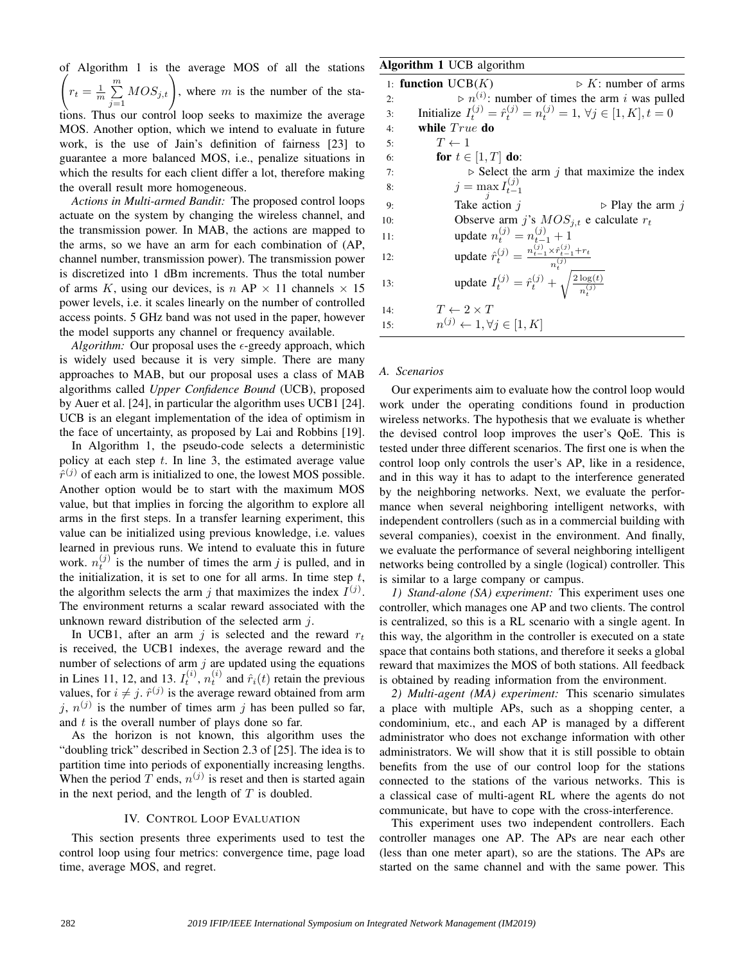of Algorithm 1 is the average MOS of all the stations $\sqrt{2}$  $r_t = \frac{1}{m} \sum_{i=1}^{m}$  $\sum_{j=1}^{m} MOS_{j,t}$ , where m is the number of the stations. Thus our control loop seeks to maximize the average MOS. Another option, which we intend to evaluate in future work, is the use of Jain's definition of fairness [23] to guarantee a more balanced MOS, i.e., penalize situations in which the results for each client differ a lot, therefore making the overall result more homogeneous.

*Actions in Multi-armed Bandit:* The proposed control loops actuate on the system by changing the wireless channel, and the transmission power. In MAB, the actions are mapped to the arms, so we have an arm for each combination of (AP, channel number, transmission power). The transmission power is discretized into 1 dBm increments. Thus the total number of arms K, using our devices, is  $n AP \times 11$  channels  $\times 15$ power levels, i.e. it scales linearly on the number of controlled access points. 5 GHz band was not used in the paper, however the model supports any channel or frequency available.

*Algorithm:* Our proposal uses the  $\epsilon$ -greedy approach, which is widely used because it is very simple. There are many approaches to MAB, but our proposal uses a class of MAB algorithms called *Upper Confidence Bound* (UCB), proposed by Auer et al. [24], in particular the algorithm uses UCB1 [24]. UCB is an elegant implementation of the idea of optimism in the face of uncertainty, as proposed by Lai and Robbins [19].

In Algorithm 1, the pseudo-code selects a deterministic policy at each step  $t$ . In line 3, the estimated average value  $\hat{r}^{(j)}$  of each arm is initialized to one, the lowest MOS possible. Another option would be to start with the maximum MOS value, but that implies in forcing the algorithm to explore all arms in the first steps. In a transfer learning experiment, this value can be initialized using previous knowledge, i.e. values learned in previous runs. We intend to evaluate this in future work.  $n_t^{(j)}$  is the number of times the arm *j* is pulled, and in the initialization, it is set to one for all arms. In time step  $t$ , the algorithm selects the arm j that maximizes the index  $I^{(j)}$ . The environment returns a scalar reward associated with the unknown reward distribution of the selected arm  $i$ .

In UCB1, after an arm j is selected and the reward  $r_t$ is received, the UCB1 indexes, the average reward and the number of selections of arm  $j$  are updated using the equations in Lines 11, 12, and 13.  $I_t^{(i)}$ ,  $n_t^{(i)}$  and  $\hat{r}_i(t)$  retain the previous values, for  $i \neq j$ .  $\hat{r}^{(j)}$  is the average reward obtained from arm j,  $n^{(j)}$  is the number of times arm j has been pulled so far, and  $t$  is the overall number of plays done so far.

As the horizon is not known, this algorithm uses the "doubling trick" described in Section 2.3 of [25]. The idea is to partition time into periods of exponentially increasing lengths. When the period T ends,  $n^{(j)}$  is reset and then is started again in the next period, and the length of  $T$  is doubled.

#### IV. CONTROL LOOP EVALUATION

This section presents three experiments used to test the control loop using four metrics: convergence time, page load time, average MOS, and regret.

# Algorithm 1 UCB algorithm

|     | $\triangleright$ K: number of arms<br>1: function $UCB(K)$                                  |
|-----|---------------------------------------------------------------------------------------------|
| 2:  | $\triangleright$ n <sup>(i)</sup> : number of times the arm i was pulled                    |
| 3:  | Initialize $I_t^{(j)} = \hat{r}_t^{(j)} = n_t^{(j)} = 1, \forall j \in [1, K], t = 0$       |
| 4:  | while $True$ do                                                                             |
| 5:  | $T \leftarrow 1$                                                                            |
| 6:  | for $t \in [1, T]$ do:                                                                      |
| 7:  | $\triangleright$ Select the arm j that maximize the index                                   |
| 8:  | $j = \max_i I_{t-1}^{(j)}$                                                                  |
| 9:  | Take action <i>i</i><br>$\triangleright$ Play the arm j                                     |
| 10: | Observe arm j's $MOS_{i,t}$ e calculate $r_t$                                               |
| 11: | update $n_t^{(j)} = n_{t-1}^{(j)} + 1$                                                      |
| 12: | update $\hat{r}_{t}^{(j)} = \frac{n_{t-1}^{(j)} \times \hat{r}_{t-1}^{(j)} + r_t}{n^{(j)}}$ |
| 13: | update $I_t^{(j)} = \hat{r}_t^{(j)} + \sqrt{\frac{2 \log(t)}{n_t^{(j)}}}$                   |
| 14: | $T \leftarrow 2 \times T$                                                                   |
| 15: | $n^{(j)} \leftarrow 1, \forall j \in [1, K]$                                                |
|     |                                                                                             |

#### *A. Scenarios*

Our experiments aim to evaluate how the control loop would work under the operating conditions found in production wireless networks. The hypothesis that we evaluate is whether the devised control loop improves the user's QoE. This is tested under three different scenarios. The first one is when the control loop only controls the user's AP, like in a residence, and in this way it has to adapt to the interference generated by the neighboring networks. Next, we evaluate the performance when several neighboring intelligent networks, with independent controllers (such as in a commercial building with several companies), coexist in the environment. And finally, we evaluate the performance of several neighboring intelligent networks being controlled by a single (logical) controller. This is similar to a large company or campus.

*1) Stand-alone (SA) experiment:* This experiment uses one controller, which manages one AP and two clients. The control is centralized, so this is a RL scenario with a single agent. In this way, the algorithm in the controller is executed on a state space that contains both stations, and therefore it seeks a global reward that maximizes the MOS of both stations. All feedback is obtained by reading information from the environment.

*2) Multi-agent (MA) experiment:* This scenario simulates a place with multiple APs, such as a shopping center, a condominium, etc., and each AP is managed by a different administrator who does not exchange information with other administrators. We will show that it is still possible to obtain benefits from the use of our control loop for the stations connected to the stations of the various networks. This is a classical case of multi-agent RL where the agents do not communicate, but have to cope with the cross-interference.

This experiment uses two independent controllers. Each controller manages one AP. The APs are near each other (less than one meter apart), so are the stations. The APs are started on the same channel and with the same power. This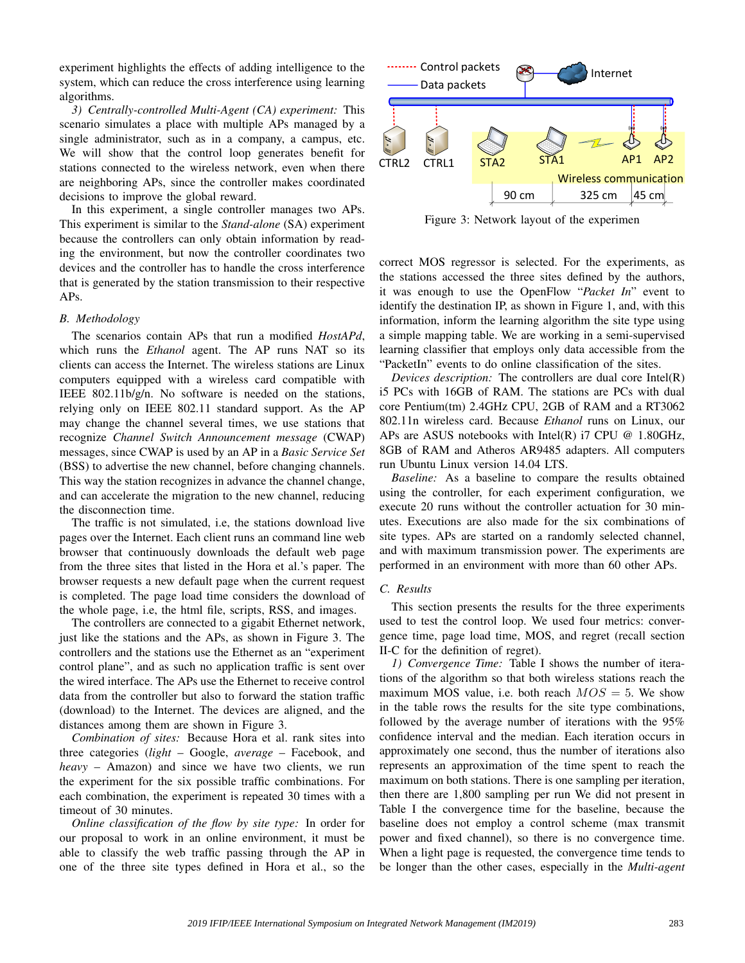experiment highlights the effects of adding intelligence to the system, which can reduce the cross interference using learning algorithms.

*3) Centrally-controlled Multi-Agent (CA) experiment:* This scenario simulates a place with multiple APs managed by a single administrator, such as in a company, a campus, etc. We will show that the control loop generates benefit for stations connected to the wireless network, even when there are neighboring APs, since the controller makes coordinated decisions to improve the global reward.

In this experiment, a single controller manages two APs. This experiment is similar to the *Stand-alone* (SA) experiment because the controllers can only obtain information by reading the environment, but now the controller coordinates two devices and the controller has to handle the cross interference that is generated by the station transmission to their respective APs.

## *B. Methodology*

The scenarios contain APs that run a modified *HostAPd*, which runs the *Ethanol* agent. The AP runs NAT so its clients can access the Internet. The wireless stations are Linux computers equipped with a wireless card compatible with IEEE 802.11b/g/n. No software is needed on the stations, relying only on IEEE 802.11 standard support. As the AP may change the channel several times, we use stations that recognize *Channel Switch Announcement message* (CWAP) messages, since CWAP is used by an AP in a *Basic Service Set* (BSS) to advertise the new channel, before changing channels. This way the station recognizes in advance the channel change, and can accelerate the migration to the new channel, reducing the disconnection time.

The traffic is not simulated, i.e, the stations download live pages over the Internet. Each client runs an command line web browser that continuously downloads the default web page from the three sites that listed in the Hora et al.'s paper. The browser requests a new default page when the current request is completed. The page load time considers the download of the whole page, i.e, the html file, scripts, RSS, and images.

The controllers are connected to a gigabit Ethernet network, just like the stations and the APs, as shown in Figure 3. The controllers and the stations use the Ethernet as an "experiment control plane", and as such no application traffic is sent over the wired interface. The APs use the Ethernet to receive control data from the controller but also to forward the station traffic (download) to the Internet. The devices are aligned, and the distances among them are shown in Figure 3.

*Combination of sites:* Because Hora et al. rank sites into three categories (*light* – Google, *average* – Facebook, and *heavy* – Amazon) and since we have two clients, we run the experiment for the six possible traffic combinations. For each combination, the experiment is repeated 30 times with a timeout of 30 minutes.

*Online classification of the flow by site type:* In order for our proposal to work in an online environment, it must be able to classify the web traffic passing through the AP in one of the three site types defined in Hora et al., so the



Figure 3: Network layout of the experimen

correct MOS regressor is selected. For the experiments, as the stations accessed the three sites defined by the authors, it was enough to use the OpenFlow "*Packet In*" event to identify the destination IP, as shown in Figure 1, and, with this information, inform the learning algorithm the site type using a simple mapping table. We are working in a semi-supervised learning classifier that employs only data accessible from the "PacketIn" events to do online classification of the sites.

*Devices description:* The controllers are dual core Intel(R) i5 PCs with 16GB of RAM. The stations are PCs with dual core Pentium(tm) 2.4GHz CPU, 2GB of RAM and a RT3062 802.11n wireless card. Because *Ethanol* runs on Linux, our APs are ASUS notebooks with Intel(R) i7 CPU  $@$  1.80GHz, 8GB of RAM and Atheros AR9485 adapters. All computers run Ubuntu Linux version 14.04 LTS.

*Baseline:* As a baseline to compare the results obtained using the controller, for each experiment configuration, we execute 20 runs without the controller actuation for 30 minutes. Executions are also made for the six combinations of site types. APs are started on a randomly selected channel, and with maximum transmission power. The experiments are performed in an environment with more than 60 other APs.

# *C. Results*

This section presents the results for the three experiments used to test the control loop. We used four metrics: convergence time, page load time, MOS, and regret (recall section II-C for the definition of regret).

*1) Convergence Time:* Table I shows the number of iterations of the algorithm so that both wireless stations reach the maximum MOS value, i.e. both reach  $MOS = 5$ . We show in the table rows the results for the site type combinations, followed by the average number of iterations with the 95% confidence interval and the median. Each iteration occurs in approximately one second, thus the number of iterations also represents an approximation of the time spent to reach the maximum on both stations. There is one sampling per iteration, then there are 1,800 sampling per run We did not present in Table I the convergence time for the baseline, because the baseline does not employ a control scheme (max transmit power and fixed channel), so there is no convergence time. When a light page is requested, the convergence time tends to be longer than the other cases, especially in the *Multi-agent*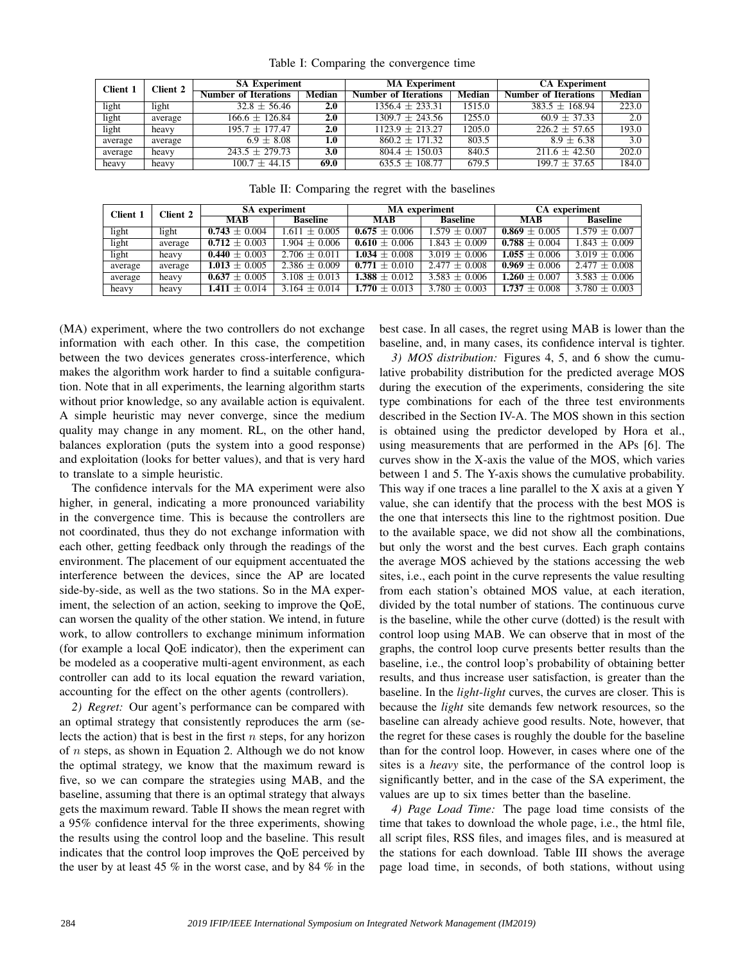| Client 1 | <b>Client 2</b> | <b>SA Experiment</b>        |        | <b>MA Experiment</b>        |        | <b>CA Experiment</b>        |        |  |
|----------|-----------------|-----------------------------|--------|-----------------------------|--------|-----------------------------|--------|--|
|          |                 | <b>Number of Iterations</b> | Median | <b>Number of Iterations</b> | Median | <b>Number of Iterations</b> | Median |  |
| light    | light           | $32.8 \pm 56.46$            | 2.0    | $1356.4 \pm 233.31$         | 1515.0 | $383.5 \pm 168.94$          | 223.0  |  |
| light    | average         | $166.6 \pm 126.84$          | 2.0    | $1309.7 \pm 243.56$         | 1255.0 | $60.9 \pm 37.33$            | 2.0    |  |
| light    | heavy           | $195.7 + 177.47$            | 2.0    | $1123.9 \pm 213.27$         | 1205.0 | $226.2 + 57.65$             | 193.0  |  |
| average  | average         | $6.9 \pm 8.08$              | 1.0    | $860.2 \pm 171.32$          | 803.5  | $8.9 \pm 6.38$              | 3.0    |  |
| average  | heavy           | $243.5 \pm 279.73$          | 3.0    | $804.4 \pm 150.03$          | 840.5  | $211.6 \pm 42.50$           | 202.0  |  |
| heavy    | heavy           | $100.7 \pm 44.15$           | 69.0   | $635.5 \pm 108.77$          | 679.5  | $199.7 \pm 37.65$           | 184.0  |  |

Table II: Comparing the regret with the baselines

| <b>Client 1</b> | Client 2 | <b>SA</b> experiment |                   |                   | <b>MA</b> experiment | <b>CA</b> experiment |                   |  |
|-----------------|----------|----------------------|-------------------|-------------------|----------------------|----------------------|-------------------|--|
|                 |          | <b>MAB</b>           | <b>Baseline</b>   | <b>MAB</b>        | <b>Baseline</b>      | MAB                  | <b>Baseline</b>   |  |
| light           | light    | $0.743 \pm 0.004$    | $1.611 \pm 0.005$ | $0.675 \pm 0.006$ | $1.579 + 0.007$      | $0.869 \pm 0.005$    | $1.579 + 0.007$   |  |
| light           | average  | $0.712 \pm 0.003$    | $1.904 + 0.006$   | $0.610 + 0.006$   | $1.843 + 0.009$      | $0.788 \pm 0.004$    | $1.843 + 0.009$   |  |
| light           | heavy    | $0.440 \pm 0.003$    | $2.706 + 0.011$   | $1.034 + 0.008$   | $3.019 + 0.006$      | $1.055 \pm 0.006$    | $3.019 + 0.006$   |  |
| average         | average  | $1.013 + 0.005$      | $2.386 + 0.009$   | $0.771 + 0.010$   | $2.477 + 0.008$      | $0.969 \pm 0.006$    | $2.477 + 0.008$   |  |
| average         | heavy    | $0.637 \pm 0.005$    | $3.108 + 0.013$   | $1.388 + 0.012$   | $3.583 + 0.006$      | $1.260 + 0.007$      | $3.583 + 0.006$   |  |
| heavy           | heavy    | $1.411 + 0.014$      | $3.164 + 0.014$   | $1.770 + 0.013$   | $3.780 + 0.003$      | $1.737 + 0.008$      | $3.780 \pm 0.003$ |  |

(MA) experiment, where the two controllers do not exchange information with each other. In this case, the competition between the two devices generates cross-interference, which makes the algorithm work harder to find a suitable configuration. Note that in all experiments, the learning algorithm starts without prior knowledge, so any available action is equivalent. A simple heuristic may never converge, since the medium quality may change in any moment. RL, on the other hand, balances exploration (puts the system into a good response) and exploitation (looks for better values), and that is very hard to translate to a simple heuristic.

The confidence intervals for the MA experiment were also higher, in general, indicating a more pronounced variability in the convergence time. This is because the controllers are not coordinated, thus they do not exchange information with each other, getting feedback only through the readings of the environment. The placement of our equipment accentuated the interference between the devices, since the AP are located side-by-side, as well as the two stations. So in the MA experiment, the selection of an action, seeking to improve the QoE, can worsen the quality of the other station. We intend, in future work, to allow controllers to exchange minimum information (for example a local QoE indicator), then the experiment can be modeled as a cooperative multi-agent environment, as each controller can add to its local equation the reward variation, accounting for the effect on the other agents (controllers).

*2) Regret:* Our agent's performance can be compared with an optimal strategy that consistently reproduces the arm (selects the action) that is best in the first  $n$  steps, for any horizon of  $n$  steps, as shown in Equation 2. Although we do not know the optimal strategy, we know that the maximum reward is five, so we can compare the strategies using MAB, and the baseline, assuming that there is an optimal strategy that always gets the maximum reward. Table II shows the mean regret with a 95% confidence interval for the three experiments, showing the results using the control loop and the baseline. This result indicates that the control loop improves the QoE perceived by the user by at least 45 % in the worst case, and by 84 % in the best case. In all cases, the regret using MAB is lower than the baseline, and, in many cases, its confidence interval is tighter.

*3) MOS distribution:* Figures 4, 5, and 6 show the cumulative probability distribution for the predicted average MOS during the execution of the experiments, considering the site type combinations for each of the three test environments described in the Section IV-A. The MOS shown in this section is obtained using the predictor developed by Hora et al., using measurements that are performed in the APs [6]. The curves show in the X-axis the value of the MOS, which varies between 1 and 5. The Y-axis shows the cumulative probability. This way if one traces a line parallel to the X axis at a given Y value, she can identify that the process with the best MOS is the one that intersects this line to the rightmost position. Due to the available space, we did not show all the combinations, but only the worst and the best curves. Each graph contains the average MOS achieved by the stations accessing the web sites, i.e., each point in the curve represents the value resulting from each station's obtained MOS value, at each iteration, divided by the total number of stations. The continuous curve is the baseline, while the other curve (dotted) is the result with control loop using MAB. We can observe that in most of the graphs, the control loop curve presents better results than the baseline, i.e., the control loop's probability of obtaining better results, and thus increase user satisfaction, is greater than the baseline. In the *light*-*light* curves, the curves are closer. This is because the *light* site demands few network resources, so the baseline can already achieve good results. Note, however, that the regret for these cases is roughly the double for the baseline than for the control loop. However, in cases where one of the sites is a *heavy* site, the performance of the control loop is significantly better, and in the case of the SA experiment, the values are up to six times better than the baseline.

*4) Page Load Time:* The page load time consists of the time that takes to download the whole page, i.e., the html file, all script files, RSS files, and images files, and is measured at the stations for each download. Table III shows the average page load time, in seconds, of both stations, without using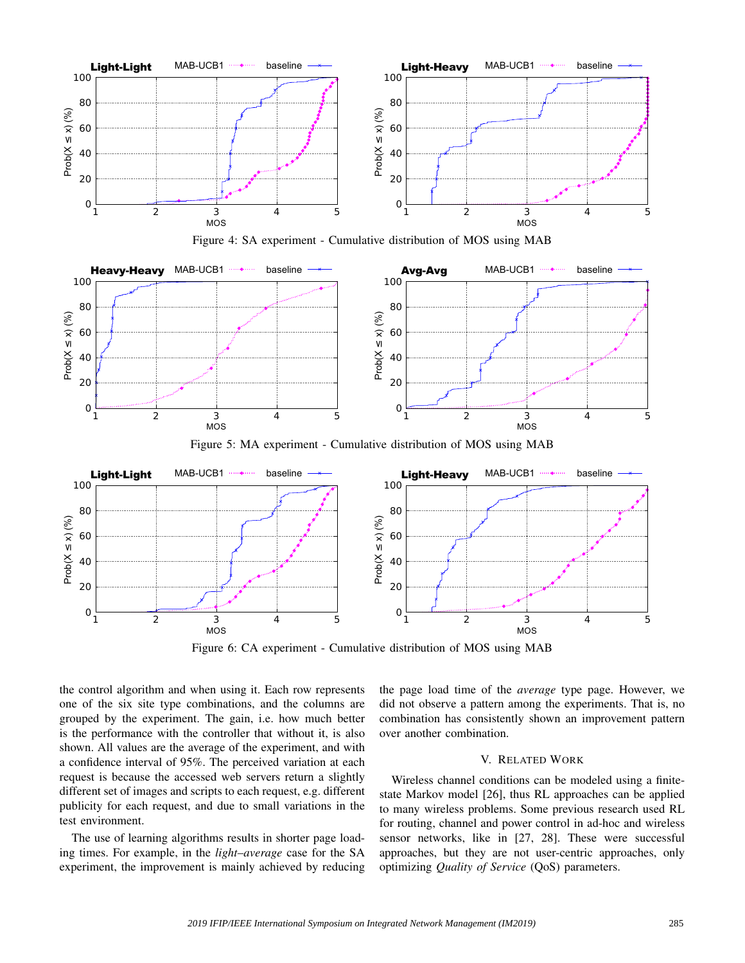





Figure 5: MA experiment - Cumulative distribution of MOS using MAB



Figure 6: CA experiment - Cumulative distribution of MOS using MAB

the control algorithm and when using it. Each row represents one of the six site type combinations, and the columns are grouped by the experiment. The gain, i.e. how much better is the performance with the controller that without it, is also shown. All values are the average of the experiment, and with a confidence interval of 95%. The perceived variation at each request is because the accessed web servers return a slightly different set of images and scripts to each request, e.g. different publicity for each request, and due to small variations in the test environment.

The use of learning algorithms results in shorter page loading times. For example, in the *light*–*average* case for the SA experiment, the improvement is mainly achieved by reducing the page load time of the *average* type page. However, we did not observe a pattern among the experiments. That is, no combination has consistently shown an improvement pattern over another combination.

# V. RELATED WORK

Wireless channel conditions can be modeled using a finitestate Markov model [26], thus RL approaches can be applied to many wireless problems. Some previous research used RL for routing, channel and power control in ad-hoc and wireless sensor networks, like in [27, 28]. These were successful approaches, but they are not user-centric approaches, only optimizing *Quality of Service* (QoS) parameters.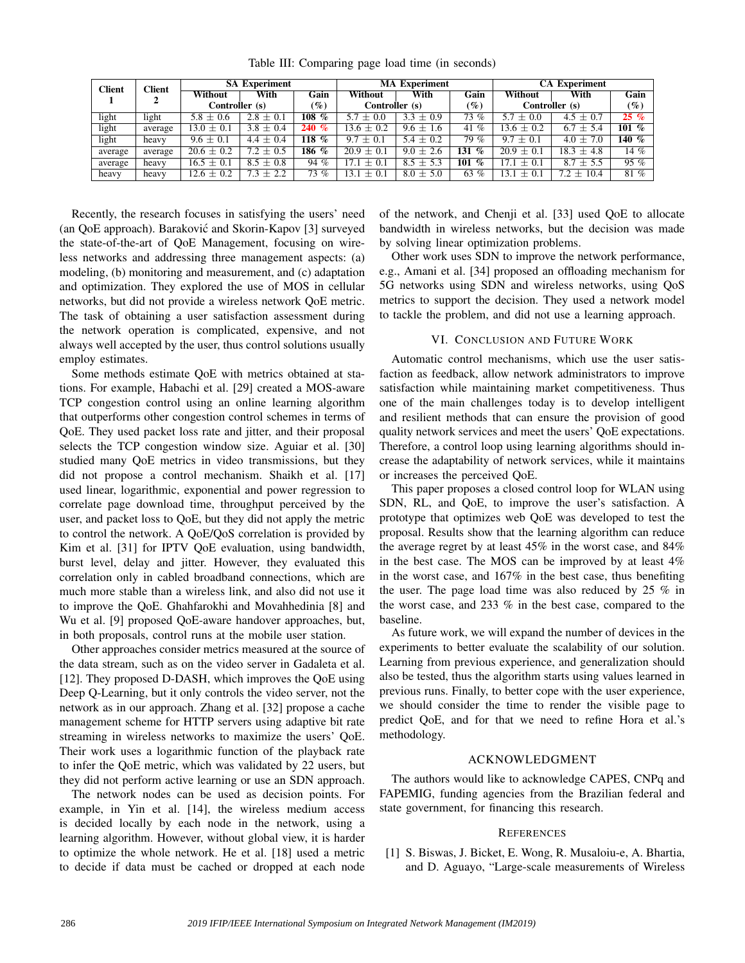| <b>Client</b> | <b>Client</b> | <b>SA Experiment</b> |               |             | <b>MA Experiment</b> |               |                        | <b>CA Experiment</b> |                |                 |
|---------------|---------------|----------------------|---------------|-------------|----------------------|---------------|------------------------|----------------------|----------------|-----------------|
|               |               | Without              | With          | Gain        | Without              | With          | Gain                   | Without              | With           | Gain            |
|               |               | Controller (s)       |               | $(\%)$      | Controller (s)       |               | $(\%)$                 | Controller (s)       |                | $\mathscr{G}_o$ |
| light         | light         | $5.8 \pm 0.6$        | $2.8 \pm 0.1$ | 108<br>$\%$ | 5.7<br>$\pm 0.0$     | $3.3 \pm 0.9$ | 73 %                   | $5.7 \pm 0.0$        | $4.5 \pm 0.7$  | $25\%$          |
| light         | average       | 13.0 $\pm$ 0.1       | $3.8 \pm 0.4$ | 240%        | $13.6 \pm 0.2$       | $9.6 \pm 1.6$ | 41 $%$                 | $13.6 \pm 0.2$       | $6.7 \pm 5.4$  | 101 %           |
| light         | heavy         | $9.6 \pm 0.1$        | $4.4 \pm 0.4$ | $\%$<br>18، | 9.7<br>$\pm$ 0.1     | $5.4 \pm 0.2$ | 79 %                   | $9.7 \pm 0.1$        | $4.0 \pm 7.0$  | 140 $%$         |
| average       | average       | $20.6 \pm 0.2$       | $7.2 \pm 0.5$ | 186 %       | $20.9 \pm 0.1$       | $9.0 \pm 2.6$ | 131<br>$\%$            | $20.9 \pm 0.1$       | $18.3 \pm 4.8$ | 14 %            |
| average       | heavy         | $16.5 \pm 0.1$       | $8.5 \pm 0.8$ | 94 %        | 17.1<br>$\pm 0.1$    | $+5.3$<br>8.5 | 101<br>$\mathcal{O}_0$ | $+0.1$               | $8.7 \pm 5.5$  | 95 %            |
| heavy         | heavy         | $12.6 \pm 0.2$       | $7.3 \pm 2.2$ | 73 %        | $\pm$ 0.1<br>13.1    | $+5.0$<br>8.0 | 63 $%$                 | 3.1<br>$+0.1$        | $7.2 + 10.4$   | 81 %            |

Table III: Comparing page load time (in seconds)

Recently, the research focuses in satisfying the users' need (an QoE approach). Barakovic and Skorin-Kapov [3] surveyed ´ the state-of-the-art of QoE Management, focusing on wireless networks and addressing three management aspects: (a) modeling, (b) monitoring and measurement, and (c) adaptation and optimization. They explored the use of MOS in cellular networks, but did not provide a wireless network QoE metric. The task of obtaining a user satisfaction assessment during the network operation is complicated, expensive, and not always well accepted by the user, thus control solutions usually employ estimates.

Some methods estimate QoE with metrics obtained at stations. For example, Habachi et al. [29] created a MOS-aware TCP congestion control using an online learning algorithm that outperforms other congestion control schemes in terms of QoE. They used packet loss rate and jitter, and their proposal selects the TCP congestion window size. Aguiar et al. [30] studied many QoE metrics in video transmissions, but they did not propose a control mechanism. Shaikh et al. [17] used linear, logarithmic, exponential and power regression to correlate page download time, throughput perceived by the user, and packet loss to QoE, but they did not apply the metric to control the network. A QoE/QoS correlation is provided by Kim et al. [31] for IPTV QoE evaluation, using bandwidth, burst level, delay and jitter. However, they evaluated this correlation only in cabled broadband connections, which are much more stable than a wireless link, and also did not use it to improve the QoE. Ghahfarokhi and Movahhedinia [8] and Wu et al. [9] proposed QoE-aware handover approaches, but, in both proposals, control runs at the mobile user station.

Other approaches consider metrics measured at the source of the data stream, such as on the video server in Gadaleta et al. [12]. They proposed D-DASH, which improves the QoE using Deep Q-Learning, but it only controls the video server, not the network as in our approach. Zhang et al. [32] propose a cache management scheme for HTTP servers using adaptive bit rate streaming in wireless networks to maximize the users' QoE. Their work uses a logarithmic function of the playback rate to infer the QoE metric, which was validated by 22 users, but they did not perform active learning or use an SDN approach.

The network nodes can be used as decision points. For example, in Yin et al. [14], the wireless medium access is decided locally by each node in the network, using a learning algorithm. However, without global view, it is harder to optimize the whole network. He et al. [18] used a metric to decide if data must be cached or dropped at each node of the network, and Chenji et al. [33] used QoE to allocate bandwidth in wireless networks, but the decision was made by solving linear optimization problems.

Other work uses SDN to improve the network performance, e.g., Amani et al. [34] proposed an offloading mechanism for 5G networks using SDN and wireless networks, using QoS metrics to support the decision. They used a network model to tackle the problem, and did not use a learning approach.

# VI. CONCLUSION AND FUTURE WORK

Automatic control mechanisms, which use the user satisfaction as feedback, allow network administrators to improve satisfaction while maintaining market competitiveness. Thus one of the main challenges today is to develop intelligent and resilient methods that can ensure the provision of good quality network services and meet the users' QoE expectations. Therefore, a control loop using learning algorithms should increase the adaptability of network services, while it maintains or increases the perceived QoE.

This paper proposes a closed control loop for WLAN using SDN, RL, and QoE, to improve the user's satisfaction. A prototype that optimizes web QoE was developed to test the proposal. Results show that the learning algorithm can reduce the average regret by at least 45% in the worst case, and 84% in the best case. The MOS can be improved by at least 4% in the worst case, and 167% in the best case, thus benefiting the user. The page load time was also reduced by 25 % in the worst case, and 233 % in the best case, compared to the baseline.

As future work, we will expand the number of devices in the experiments to better evaluate the scalability of our solution. Learning from previous experience, and generalization should also be tested, thus the algorithm starts using values learned in previous runs. Finally, to better cope with the user experience, we should consider the time to render the visible page to predict QoE, and for that we need to refine Hora et al.'s methodology.

# ACKNOWLEDGMENT

The authors would like to acknowledge CAPES, CNPq and FAPEMIG, funding agencies from the Brazilian federal and state government, for financing this research.

# **REFERENCES**

[1] S. Biswas, J. Bicket, E. Wong, R. Musaloiu-e, A. Bhartia, and D. Aguayo, "Large-scale measurements of Wireless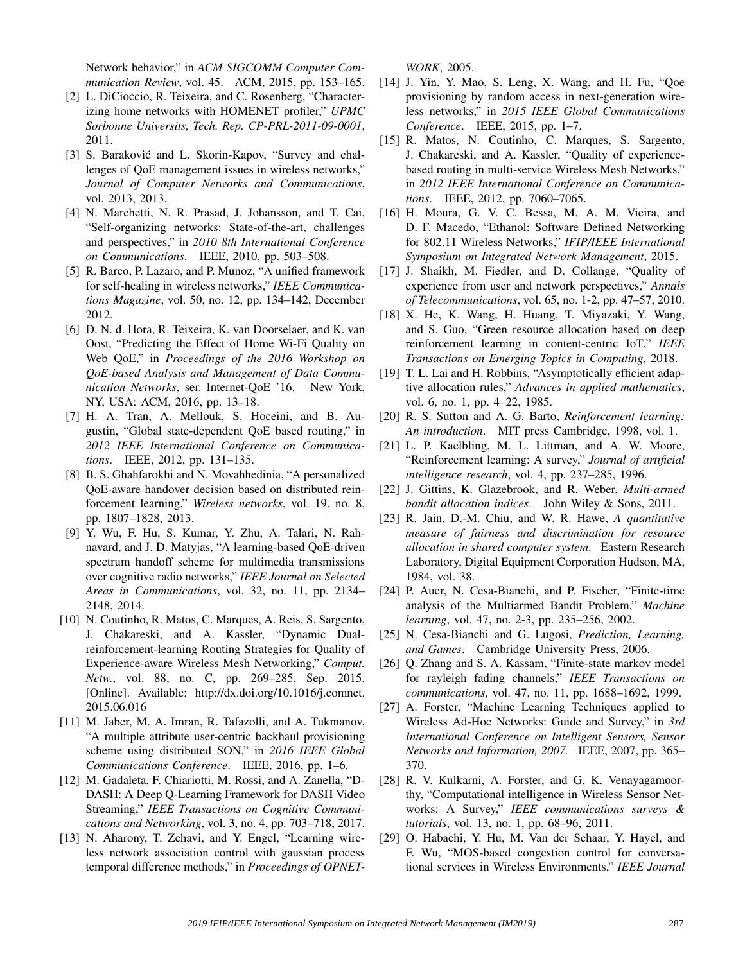Network behavior," in *ACM SIGCOMM Computer Communication Review*, vol. 45. ACM, 2015, pp. 153–165.

- [2] L. DiCioccio, R. Teixeira, and C. Rosenberg, "Characterizing home networks with HOMENET profiler," *UPMC Sorbonne Universits, Tech. Rep. CP-PRL-2011-09-0001*, 2011.
- [3] S. Baraković and L. Skorin-Kapov, "Survey and challenges of QoE management issues in wireless networks," *Journal of Computer Networks and Communications*, vol. 2013, 2013.
- [4] N. Marchetti, N. R. Prasad, J. Johansson, and T. Cai, "Self-organizing networks: State-of-the-art, challenges and perspectives," in *2010 8th International Conference on Communications*. IEEE, 2010, pp. 503–508.
- [5] R. Barco, P. Lazaro, and P. Munoz, "A unified framework for self-healing in wireless networks," *IEEE Communications Magazine*, vol. 50, no. 12, pp. 134–142, December 2012.
- [6] D. N. d. Hora, R. Teixeira, K. van Doorselaer, and K. van Oost, "Predicting the Effect of Home Wi-Fi Quality on Web QoE," in *Proceedings of the 2016 Workshop on QoE-based Analysis and Management of Data Communication Networks*, ser. Internet-QoE '16. New York, NY, USA: ACM, 2016, pp. 13–18.
- [7] H. A. Tran, A. Mellouk, S. Hoceini, and B. Augustin, "Global state-dependent QoE based routing," in *2012 IEEE International Conference on Communications*. IEEE, 2012, pp. 131–135.
- [8] B. S. Ghahfarokhi and N. Movahhedinia, "A personalized QoE-aware handover decision based on distributed reinforcement learning," *Wireless networks*, vol. 19, no. 8, pp. 1807–1828, 2013.
- [9] Y. Wu, F. Hu, S. Kumar, Y. Zhu, A. Talari, N. Rahnavard, and J. D. Matyjas, "A learning-based QoE-driven spectrum handoff scheme for multimedia transmissions over cognitive radio networks," *IEEE Journal on Selected Areas in Communications*, vol. 32, no. 11, pp. 2134– 2148, 2014.
- [10] N. Coutinho, R. Matos, C. Marques, A. Reis, S. Sargento, J. Chakareski, and A. Kassler, "Dynamic Dualreinforcement-learning Routing Strategies for Quality of Experience-aware Wireless Mesh Networking," *Comput. Netw.*, vol. 88, no. C, pp. 269–285, Sep. 2015. [Online]. Available: http://dx.doi.org/10.1016/j.comnet. 2015.06.016
- [11] M. Jaber, M. A. Imran, R. Tafazolli, and A. Tukmanov, "A multiple attribute user-centric backhaul provisioning scheme using distributed SON," in *2016 IEEE Global Communications Conference*. IEEE, 2016, pp. 1–6.
- [12] M. Gadaleta, F. Chiariotti, M. Rossi, and A. Zanella, "D-DASH: A Deep Q-Learning Framework for DASH Video Streaming," *IEEE Transactions on Cognitive Communications and Networking*, vol. 3, no. 4, pp. 703–718, 2017.
- [13] N. Aharony, T. Zehavi, and Y. Engel, "Learning wireless network association control with gaussian process temporal difference methods," in *Proceedings of OPNET-*

*WORK*, 2005.

- [14] J. Yin, Y. Mao, S. Leng, X. Wang, and H. Fu, "Qoe provisioning by random access in next-generation wireless networks," in *2015 IEEE Global Communications Conference*. IEEE, 2015, pp. 1–7.
- [15] R. Matos, N. Coutinho, C. Marques, S. Sargento, J. Chakareski, and A. Kassler, "Quality of experiencebased routing in multi-service Wireless Mesh Networks," in *2012 IEEE International Conference on Communications*. IEEE, 2012, pp. 7060–7065.
- [16] H. Moura, G. V. C. Bessa, M. A. M. Vieira, and D. F. Macedo, "Ethanol: Software Defined Networking for 802.11 Wireless Networks," *IFIP/IEEE International Symposium on Integrated Network Management*, 2015.
- [17] J. Shaikh, M. Fiedler, and D. Collange, "Quality of experience from user and network perspectives," *Annals of Telecommunications*, vol. 65, no. 1-2, pp. 47–57, 2010.
- [18] X. He, K. Wang, H. Huang, T. Miyazaki, Y. Wang, and S. Guo, "Green resource allocation based on deep reinforcement learning in content-centric IoT," *IEEE Transactions on Emerging Topics in Computing*, 2018.
- [19] T. L. Lai and H. Robbins, "Asymptotically efficient adaptive allocation rules," *Advances in applied mathematics*, vol. 6, no. 1, pp. 4–22, 1985.
- [20] R. S. Sutton and A. G. Barto, *Reinforcement learning: An introduction*. MIT press Cambridge, 1998, vol. 1.
- [21] L. P. Kaelbling, M. L. Littman, and A. W. Moore, "Reinforcement learning: A survey," *Journal of artificial intelligence research*, vol. 4, pp. 237–285, 1996.
- [22] J. Gittins, K. Glazebrook, and R. Weber, *Multi-armed bandit allocation indices*. John Wiley & Sons, 2011.
- [23] R. Jain, D.-M. Chiu, and W. R. Hawe, *A quantitative measure of fairness and discrimination for resource allocation in shared computer system*. Eastern Research Laboratory, Digital Equipment Corporation Hudson, MA, 1984, vol. 38.
- [24] P. Auer, N. Cesa-Bianchi, and P. Fischer, "Finite-time analysis of the Multiarmed Bandit Problem," *Machine learning*, vol. 47, no. 2-3, pp. 235–256, 2002.
- [25] N. Cesa-Bianchi and G. Lugosi, *Prediction, Learning, and Games*. Cambridge University Press, 2006.
- [26] Q. Zhang and S. A. Kassam, "Finite-state markov model for rayleigh fading channels," *IEEE Transactions on communications*, vol. 47, no. 11, pp. 1688–1692, 1999.
- [27] A. Forster, "Machine Learning Techniques applied to Wireless Ad-Hoc Networks: Guide and Survey," in *3rd International Conference on Intelligent Sensors, Sensor Networks and Information, 2007.* IEEE, 2007, pp. 365– 370.
- [28] R. V. Kulkarni, A. Forster, and G. K. Venayagamoorthy, "Computational intelligence in Wireless Sensor Networks: A Survey," *IEEE communications surveys & tutorials*, vol. 13, no. 1, pp. 68–96, 2011.
- [29] O. Habachi, Y. Hu, M. Van der Schaar, Y. Hayel, and F. Wu, "MOS-based congestion control for conversational services in Wireless Environments," *IEEE Journal*